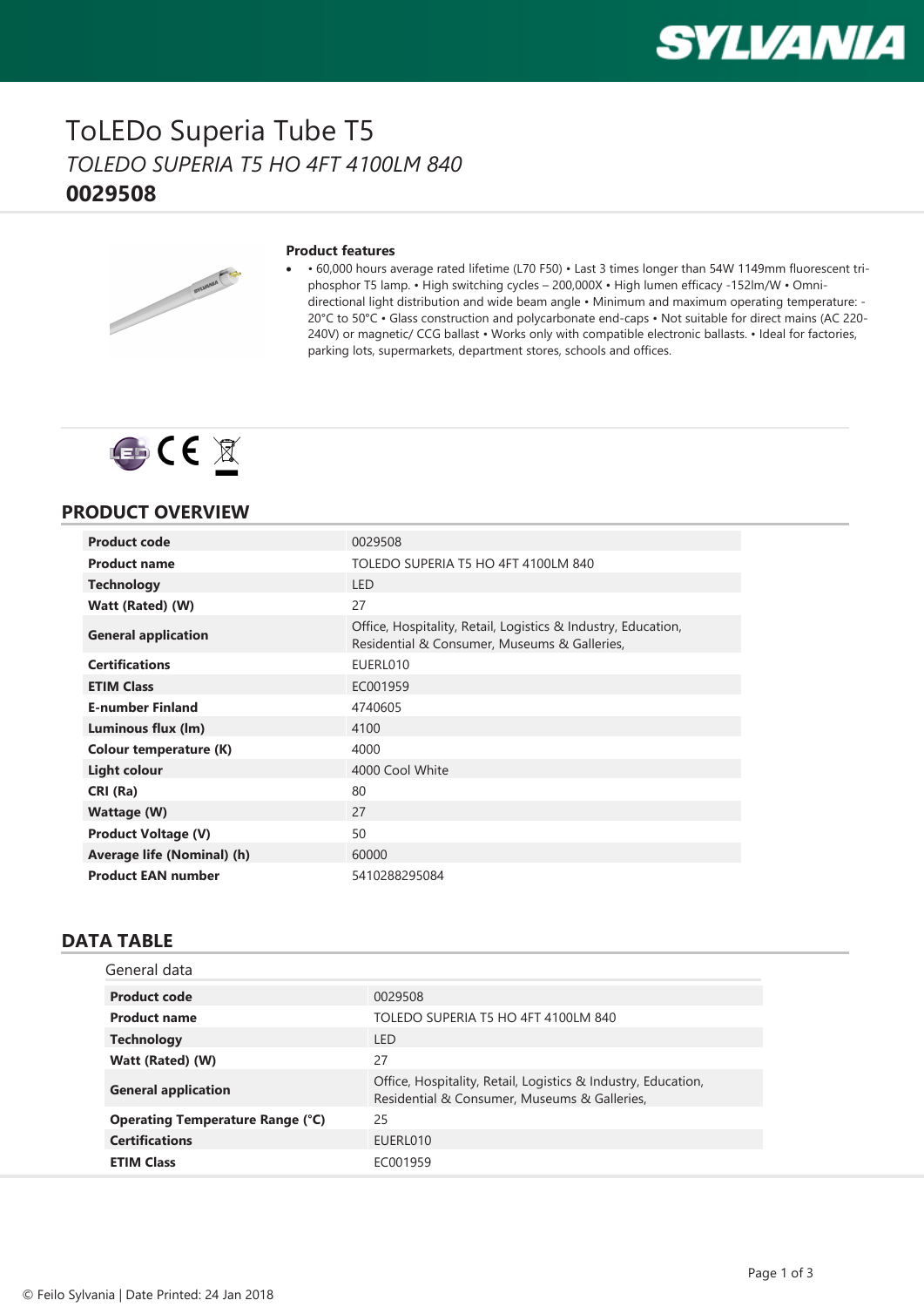

### ToLEDo Superia Tube T5 *TOLEDO SUPERIA T5 HO 4FT 4100LM 840* **0029508**



#### **Product features**

· • 60,000 hours average rated lifetime (L70 F50) • Last 3 times longer than 54W 1149mm fluorescent triphosphor T5 lamp. • High switching cycles – 200,000X • High lumen efficacy -152lm/W • Omnidirectional light distribution and wide beam angle • Minimum and maximum operating temperature: - 20°C to 50°C • Glass construction and polycarbonate end-caps • Not suitable for direct mains (AC 220- 240V) or magnetic/ CCG ballast • Works only with compatible electronic ballasts. • Ideal for factories, parking lots, supermarkets, department stores, schools and offices.



### **PRODUCT OVERVIEW**

| <b>Product code</b>           | 0029508                                                                                                       |
|-------------------------------|---------------------------------------------------------------------------------------------------------------|
|                               |                                                                                                               |
| <b>Product name</b>           | TOLEDO SUPERIA T5 HO 4FT 4100LM 840                                                                           |
| <b>Technology</b>             | <b>LED</b>                                                                                                    |
| Watt (Rated) (W)              | 27                                                                                                            |
| <b>General application</b>    | Office, Hospitality, Retail, Logistics & Industry, Education,<br>Residential & Consumer, Museums & Galleries, |
| <b>Certifications</b>         | EUERL010                                                                                                      |
| <b>ETIM Class</b>             | EC001959                                                                                                      |
| <b>E-number Finland</b>       | 4740605                                                                                                       |
| Luminous flux (lm)            | 4100                                                                                                          |
| <b>Colour temperature (K)</b> | 4000                                                                                                          |
| <b>Light colour</b>           | 4000 Cool White                                                                                               |
| CRI (Ra)                      | 80                                                                                                            |
| Wattage (W)                   | 27                                                                                                            |
| <b>Product Voltage (V)</b>    | 50                                                                                                            |
| Average life (Nominal) (h)    | 60000                                                                                                         |
| <b>Product EAN number</b>     | 5410288295084                                                                                                 |

### **DATA TABLE**

| General data                            |                                                                                                               |
|-----------------------------------------|---------------------------------------------------------------------------------------------------------------|
| <b>Product code</b>                     | 0029508                                                                                                       |
| <b>Product name</b>                     | TOLEDO SUPERIA T5 HO 4FT 4100LM 840                                                                           |
| <b>Technology</b>                       | I FD                                                                                                          |
| Watt (Rated) (W)                        | 27                                                                                                            |
| <b>General application</b>              | Office, Hospitality, Retail, Logistics & Industry, Education,<br>Residential & Consumer, Museums & Galleries, |
| <b>Operating Temperature Range (°C)</b> | 25                                                                                                            |
| <b>Certifications</b>                   | EUERL010                                                                                                      |
| <b>ETIM Class</b>                       | FC001959                                                                                                      |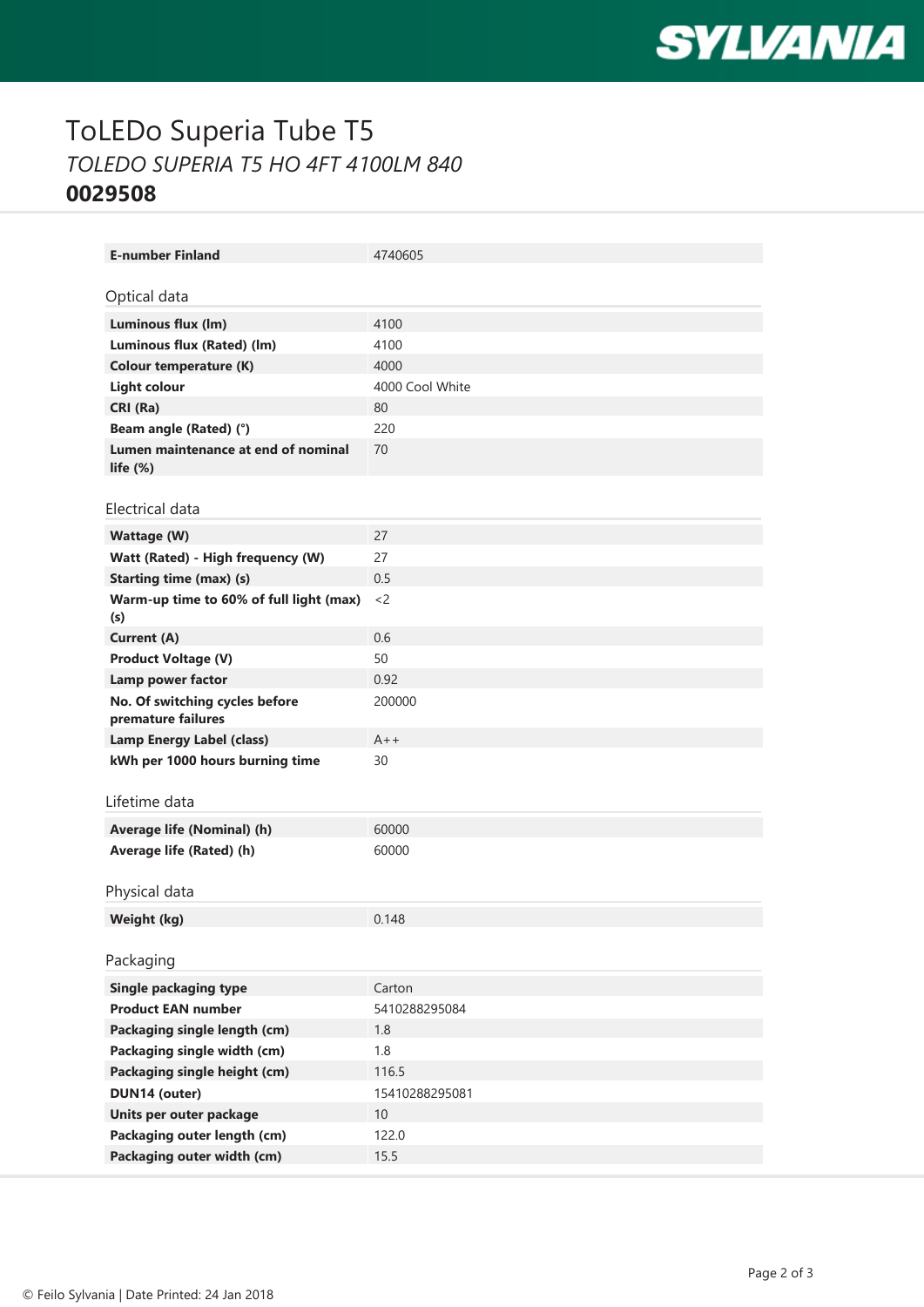

# ToLEDo Superia Tube T5 *TOLEDO SUPERIA T5 HO 4FT 4100LM 840* **0029508**

| <b>E-number Finland</b>                              | 4740605         |
|------------------------------------------------------|-----------------|
| Optical data                                         |                 |
|                                                      |                 |
| Luminous flux (lm)                                   | 4100            |
| Luminous flux (Rated) (lm)                           | 4100            |
| <b>Colour temperature (K)</b>                        | 4000            |
| <b>Light colour</b>                                  | 4000 Cool White |
| CRI (Ra)                                             | 80              |
| Beam angle (Rated) (°)                               | 220             |
| Lumen maintenance at end of nominal<br>life $(\%)$   | 70              |
|                                                      |                 |
| Electrical data                                      |                 |
| <b>Wattage (W)</b>                                   | 27              |
| Watt (Rated) - High frequency (W)                    | 27              |
| <b>Starting time (max) (s)</b>                       | 0.5             |
| Warm-up time to 60% of full light (max)<br>(s)       | $<$ 2           |
| Current (A)                                          | 0.6             |
| <b>Product Voltage (V)</b>                           | 50              |
| Lamp power factor                                    | 0.92            |
| No. Of switching cycles before<br>premature failures | 200000          |
| Lamp Energy Label (class)                            | $A++$           |
| kWh per 1000 hours burning time                      | 30              |
|                                                      |                 |
| Lifetime data                                        |                 |
| Average life (Nominal) (h)                           | 60000           |
| Average life (Rated) (h)                             | 60000           |
|                                                      |                 |
| Physical data                                        |                 |
| Weight (kg)                                          | 0.148           |
|                                                      |                 |
| Packaging                                            |                 |
| <b>Single packaging type</b>                         | Carton          |
| <b>Product EAN number</b>                            | 5410288295084   |
| Packaging single length (cm)                         | 1.8             |
| Packaging single width (cm)                          | 1.8             |
| Packaging single height (cm)                         | 116.5           |
| DUN14 (outer)                                        | 15410288295081  |
| Units per outer package                              | 10              |
| Packaging outer length (cm)                          | 122.0           |
| Packaging outer width (cm)                           | 15.5            |
|                                                      |                 |